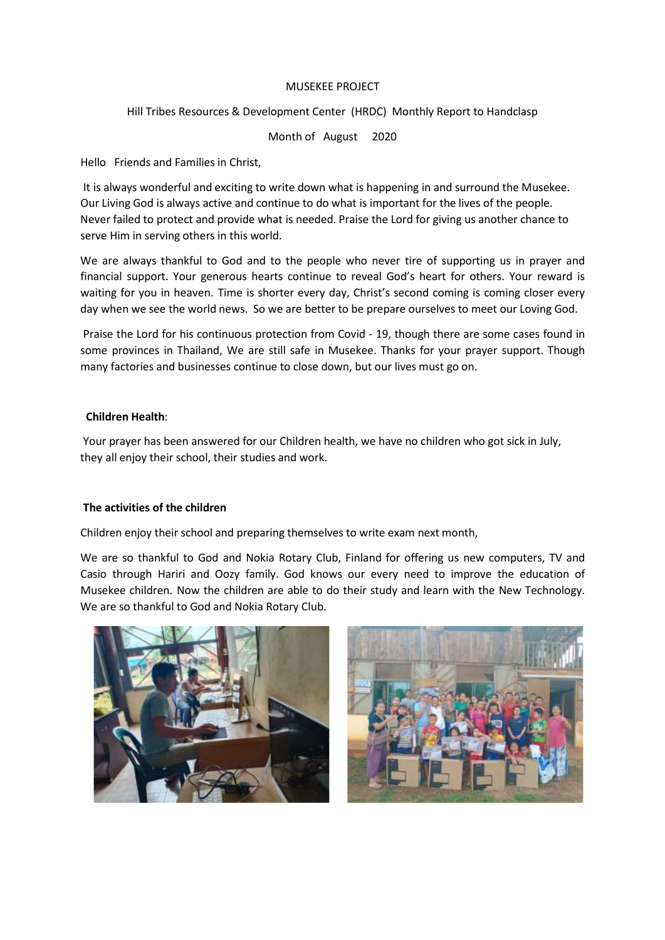## MUSEKEE PROJECT

Hill Tribes Resources & Development Center (HRDC) Monthly Report to Handclasp

Month of August 2020

Hello Friends and Families in Christ,

It is always wonderful and exciting to write down what is happening in and surround the Musekee. Our Living God is always active and continue to do what is important for the lives of the people. Never failed to protect and provide what is needed. Praise the Lord for giving us another chance to serve Him in serving others in this world.

We are always thankful to God and to the people who never tire of supporting us in prayer and financial support. Your generous hearts continue to reveal God's heart for others. Your reward is waiting for you in heaven. Time is shorter every day, Christ's second coming is coming closer every day when we see the world news. So we are better to be prepare ourselves to meet our Loving God.

Praise the Lord for his continuous protection from Covid - 19, though there are some cases found in some provinces in Thailand, We are still safe in Musekee. Thanks for your prayer support. Though many factories and businesses continue to close down, but our lives must go on.

## **Children Health**:

Your prayer has been answered for our Children health, we have no children who got sick in July, they all enjoy their school, their studies and work.

## **The activities of the children**

Children enjoy their school and preparing themselves to write exam next month,

We are so thankful to God and Nokia Rotary Club, Finland for offering us new computers, TV and Casio through Hariri and Oozy family. God knows our every need to improve the education of Musekee children. Now the children are able to do their study and learn with the New Technology. We are so thankful to God and Nokia Rotary Club.



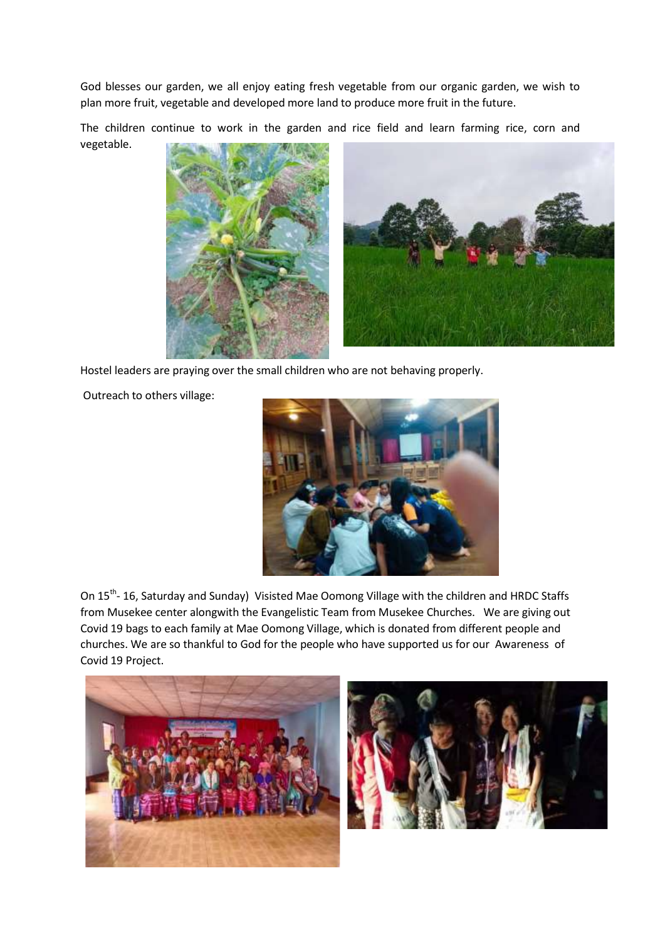God blesses our garden, we all enjoy eating fresh vegetable from our organic garden, we wish to plan more fruit, vegetable and developed more land to produce more fruit in the future.

The children continue to work in the garden and rice field and learn farming rice, corn and vegetable.



Hostel leaders are praying over the small children who are not behaving properly.

Outreach to others village:



On 15<sup>th</sup>- 16, Saturday and Sunday) Visisted Mae Oomong Village with the children and HRDC Staffs from Musekee center alongwith the Evangelistic Team from Musekee Churches. We are giving out Covid 19 bags to each family at Mae Oomong Village, which is donated from different people and churches. We are so thankful to God for the people who have supported us for our Awareness of Covid 19 Project.



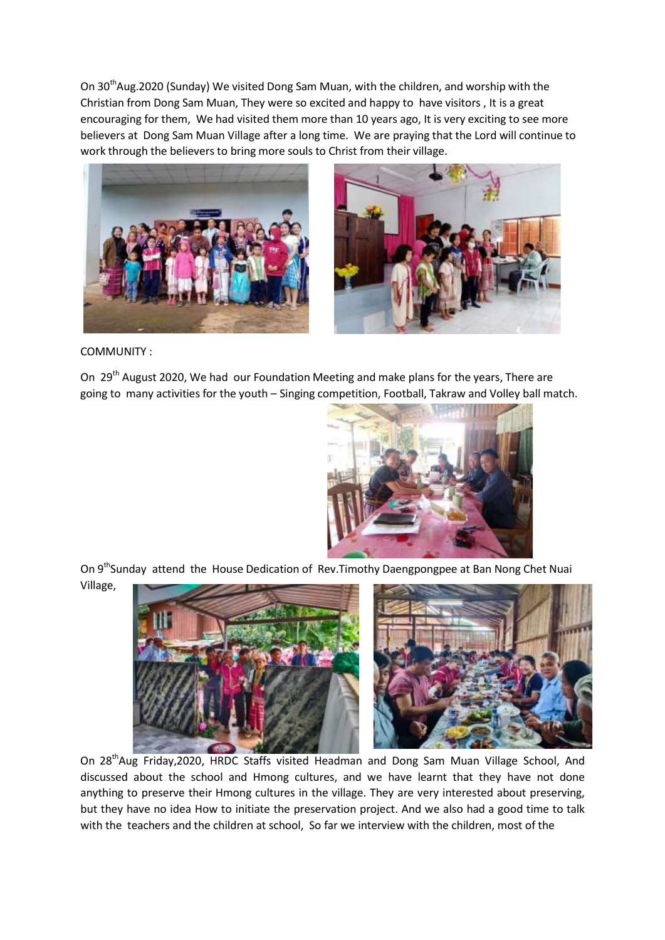On 30<sup>th</sup>Aug.2020 (Sunday) We visited Dong Sam Muan, with the children, and worship with the Christian from Dong Sam Muan, They were so excited and happy to have visitors , It is a great encouraging for them, We had visited them more than 10 years ago, It is very exciting to see more believers at Dong Sam Muan Village after a long time. We are praying that the Lord will continue to work through the believers to bring more souls to Christ from their village.





COMMUNITY :

On 29<sup>th</sup> August 2020, We had our Foundation Meeting and make plans for the years, There are going to many activities for the youth – Singing competition, Football, Takraw and Volley ball match.



On 9<sup>th</sup>Sunday attend the House Dedication of Rev. Timothy Daengpongpee at Ban Nong Chet Nuai Village,



On 28<sup>th</sup>Aug Friday, 2020, HRDC Staffs visited Headman and Dong Sam Muan Village School, And discussed about the school and Hmong cultures, and we have learnt that they have not done anything to preserve their Hmong cultures in the village. They are very interested about preserving, but they have no idea How to initiate the preservation project. And we also had a good time to talk with the teachers and the children at school, So far we interview with the children, most of the